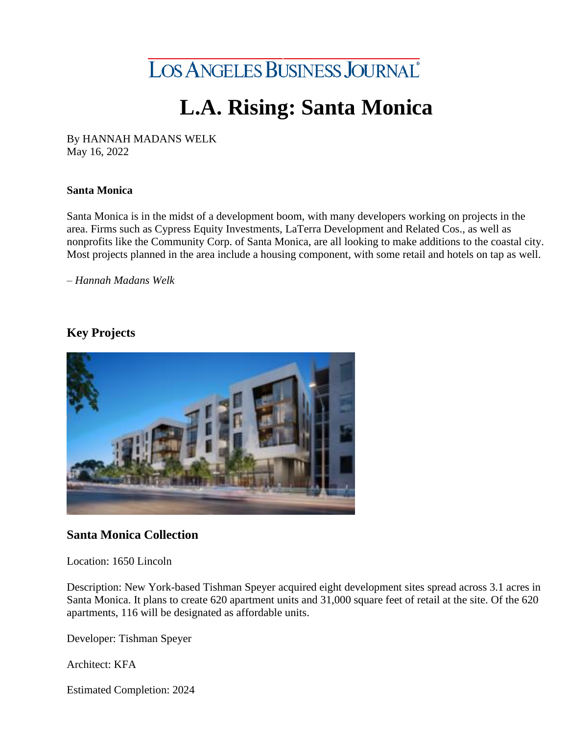

# **L.A. Rising: Santa Monica**

By HANNAH MADANS WELK May 16, 2022

#### **Santa Monica**

Santa Monica is in the midst of a development boom, with many developers working on projects in the area. Firms such as Cypress Equity Investments, LaTerra Development and Related Cos., as well as nonprofits like the Community Corp. of Santa Monica, are all looking to make additions to the coastal city. Most projects planned in the area include a housing component, with some retail and hotels on tap as well.

*– Hannah Madans Welk*

# **Key Projects**



## **Santa Monica Collection**

Location: 1650 Lincoln

Description: New York-based Tishman Speyer acquired eight development sites spread across 3.1 acres in Santa Monica. It plans to create 620 apartment units and 31,000 square feet of retail at the site. Of the 620 apartments, 116 will be designated as affordable units.

Developer: Tishman Speyer

Architect: KFA

Estimated Completion: 2024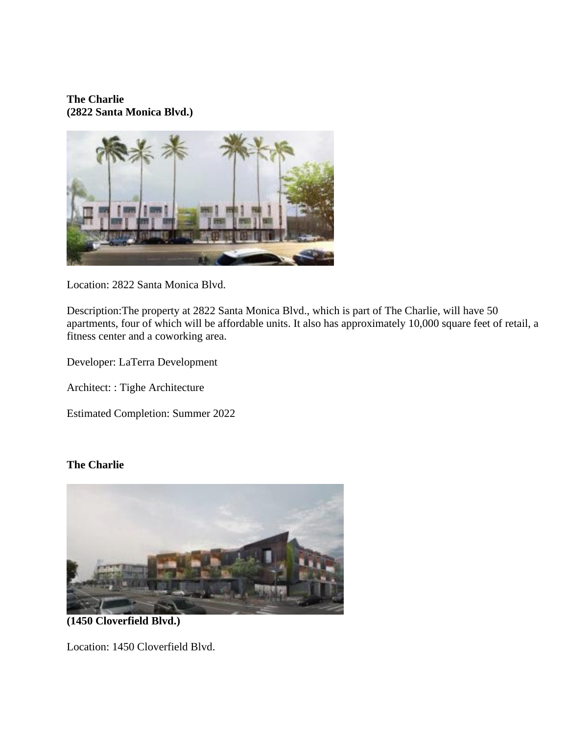**The Charlie (2822 Santa Monica Blvd.)**



Location: 2822 Santa Monica Blvd.

Description:The property at 2822 Santa Monica Blvd., which is part of The Charlie, will have 50 apartments, four of which will be affordable units. It also has approximately 10,000 square feet of retail, a fitness center and a coworking area.

Developer: LaTerra Development

Architect: : Tighe Architecture

Estimated Completion: Summer 2022

## **The Charlie**



**(1450 Cloverfield Blvd.)**

Location: 1450 Cloverfield Blvd.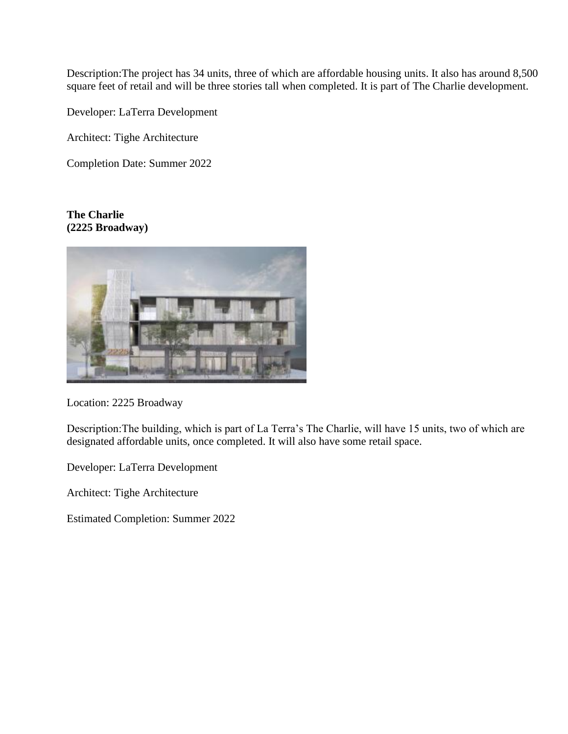Description:The project has 34 units, three of which are affordable housing units. It also has around 8,500 square feet of retail and will be three stories tall when completed. It is part of The Charlie development.

Developer: LaTerra Development

Architect: Tighe Architecture

Completion Date: Summer 2022

### **The Charlie (2225 Broadway)**



Location: 2225 Broadway

Description:The building, which is part of La Terra's The Charlie, will have 15 units, two of which are designated affordable units, once completed. It will also have some retail space.

Developer: LaTerra Development

Architect: Tighe Architecture

Estimated Completion: Summer 2022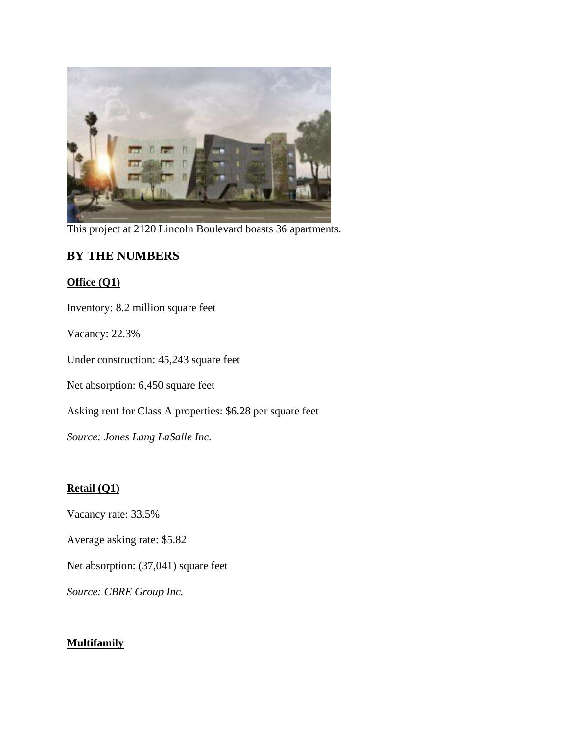

This project at 2120 Lincoln Boulevard boasts 36 apartments.

# **BY THE NUMBERS**

## **Office (Q1)**

Inventory: 8.2 million square feet

Vacancy: 22.3%

Under construction: 45,243 square feet

Net absorption: 6,450 square feet

Asking rent for Class A properties: \$6.28 per square feet

*Source: Jones Lang LaSalle Inc.*

# **Retail (Q1)**

Vacancy rate: 33.5%

Average asking rate: \$5.82

Net absorption: (37,041) square feet

*Source: CBRE Group Inc.*

## **Multifamily**